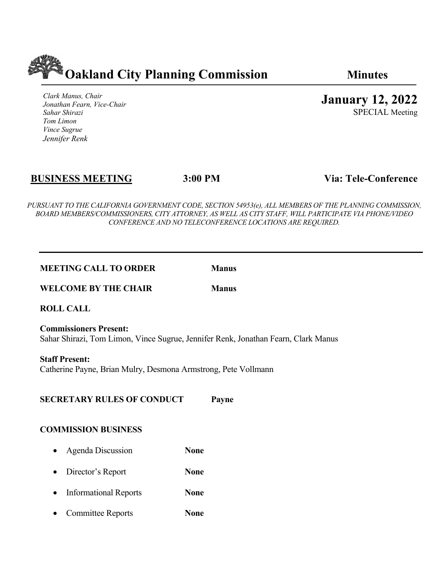

*Clark Manus, Chair Jonathan Fearn, Vice-Chair Sahar Shirazi Tom Limon Vince Sugrue Jennifer Renk*

**January 12, 2022**

SPECIAL Meeting

# **BUSINESS MEETING 3:00 PM Via: Tele-Conference**

*PURSUANT TO THE CALIFORNIA GOVERNMENT CODE, SECTION 54953(e), ALL MEMBERS OF THE PLANNING COMMISSION, BOARD MEMBERS/COMMISSIONERS, CITY ATTORNEY, AS WELL AS CITY STAFF, WILL PARTICIPATE VIA PHONE/VIDEO CONFERENCE AND NO TELECONFERENCE LOCATIONS ARE REQUIRED.*

### **MEETING CALL TO ORDER** Manus

### **WELCOME BY THE CHAIR** Manus

**ROLL CALL**

**Commissioners Present:** Sahar Shirazi, Tom Limon, Vince Sugrue, Jennifer Renk, Jonathan Fearn, Clark Manus

**Staff Present:** Catherine Payne, Brian Mulry, Desmona Armstrong, Pete Vollmann

### **SECRETARY RULES OF CONDUCT Payne**

# **COMMISSION BUSINESS**

- Agenda Discussion **None**
- Director's Report **None**
- Informational Reports **None**
- Committee Reports **None**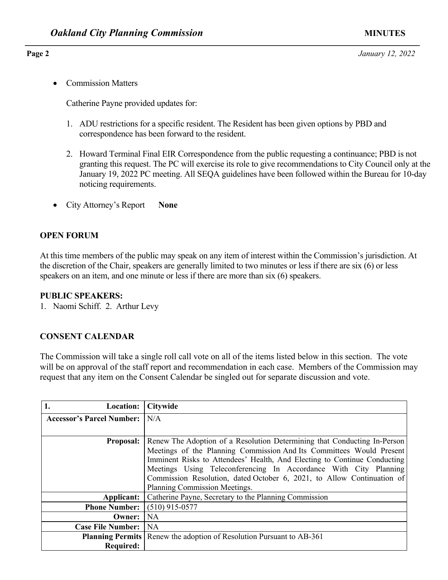• Commission Matters

Catherine Payne provided updates for:

- 1. ADU restrictions for a specific resident. The Resident has been given options by PBD and correspondence has been forward to the resident.
- 2. Howard Terminal Final EIR Correspondence from the public requesting a continuance; PBD is not granting this request. The PC will exercise its role to give recommendations to City Council only at the January 19, 2022 PC meeting. All SEQA guidelines have been followed within the Bureau for 10-day noticing requirements.
- City Attorney's Report **None**

# **OPEN FORUM**

At this time members of the public may speak on any item of interest within the Commission's jurisdiction. At the discretion of the Chair, speakers are generally limited to two minutes or less if there are six (6) or less speakers on an item, and one minute or less if there are more than six (6) speakers.

### **PUBLIC SPEAKERS:**

1. Naomi Schiff. 2. Arthur Levy

### **CONSENT CALENDAR**

The Commission will take a single roll call vote on all of the items listed below in this section. The vote will be on approval of the staff report and recommendation in each case. Members of the Commission may request that any item on the Consent Calendar be singled out for separate discussion and vote.

| 1.<br><b>Location:</b>           | <b>Citywide</b>                                                                                                                                                                                                                                                                                                                                                                                             |  |
|----------------------------------|-------------------------------------------------------------------------------------------------------------------------------------------------------------------------------------------------------------------------------------------------------------------------------------------------------------------------------------------------------------------------------------------------------------|--|
| <b>Accessor's Parcel Number:</b> | N/A                                                                                                                                                                                                                                                                                                                                                                                                         |  |
|                                  |                                                                                                                                                                                                                                                                                                                                                                                                             |  |
| <b>Proposal:</b>                 | Renew The Adoption of a Resolution Determining that Conducting In-Person<br>Meetings of the Planning Commission And Its Committees Would Present<br>Imminent Risks to Attendees' Health, And Electing to Continue Conducting<br>Meetings Using Teleconferencing In Accordance With City Planning<br>Commission Resolution, dated October 6, 2021, to Allow Continuation of<br>Planning Commission Meetings. |  |
| Applicant:                       | Catherine Payne, Secretary to the Planning Commission                                                                                                                                                                                                                                                                                                                                                       |  |
| <b>Phone Number:</b>             | $(510)$ 915-0577                                                                                                                                                                                                                                                                                                                                                                                            |  |
| Owner:                           | <b>NA</b>                                                                                                                                                                                                                                                                                                                                                                                                   |  |
| <b>Case File Number:</b>         | <b>NA</b>                                                                                                                                                                                                                                                                                                                                                                                                   |  |
|                                  | <b>Planning Permits</b> Renew the adoption of Resolution Pursuant to AB-361                                                                                                                                                                                                                                                                                                                                 |  |
| <b>Required:</b>                 |                                                                                                                                                                                                                                                                                                                                                                                                             |  |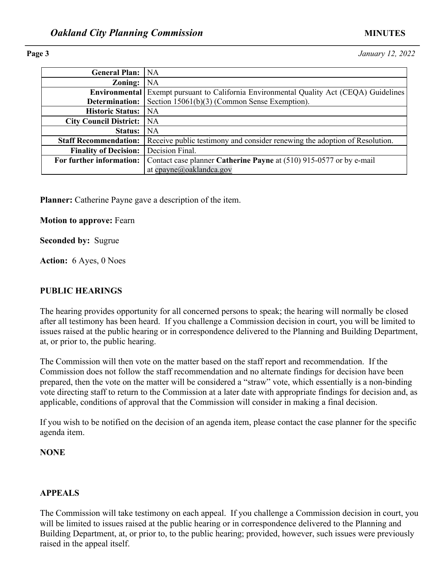**Page 3** *January 12, 2022*

| <b>General Plan:</b>          | NA                                                                                             |  |  |
|-------------------------------|------------------------------------------------------------------------------------------------|--|--|
| Zoning:                       | NA                                                                                             |  |  |
|                               | <b>Environmental</b> Exempt pursuant to California Environmental Quality Act (CEQA) Guidelines |  |  |
| Determination:                | Section 15061(b)(3) (Common Sense Exemption).                                                  |  |  |
| <b>Historic Status:</b>       | <b>NA</b>                                                                                      |  |  |
| <b>City Council District:</b> | <b>NA</b>                                                                                      |  |  |
| Status:                       | <b>NA</b>                                                                                      |  |  |
| <b>Staff Recommendation:</b>  | Receive public testimony and consider renewing the adoption of Resolution.                     |  |  |
| <b>Finality of Decision:</b>  | Decision Final.                                                                                |  |  |
| For further information:      | Contact case planner Catherine Payne at (510) 915-0577 or by e-mail                            |  |  |
|                               | at cpayne@oaklandca.gov                                                                        |  |  |

**Planner:** Catherine Payne gave a description of the item.

**Motion to approve:** Fearn

**Seconded by:** Sugrue

**Action:** 6 Ayes, 0 Noes

### **PUBLIC HEARINGS**

The hearing provides opportunity for all concerned persons to speak; the hearing will normally be closed after all testimony has been heard. If you challenge a Commission decision in court, you will be limited to issues raised at the public hearing or in correspondence delivered to the Planning and Building Department, at, or prior to, the public hearing.

The Commission will then vote on the matter based on the staff report and recommendation. If the Commission does not follow the staff recommendation and no alternate findings for decision have been prepared, then the vote on the matter will be considered a "straw" vote, which essentially is a non-binding vote directing staff to return to the Commission at a later date with appropriate findings for decision and, as applicable, conditions of approval that the Commission will consider in making a final decision.

If you wish to be notified on the decision of an agenda item, please contact the case planner for the specific agenda item.

### **NONE**

### **APPEALS**

The Commission will take testimony on each appeal. If you challenge a Commission decision in court, you will be limited to issues raised at the public hearing or in correspondence delivered to the Planning and Building Department, at, or prior to, to the public hearing; provided, however, such issues were previously raised in the appeal itself.